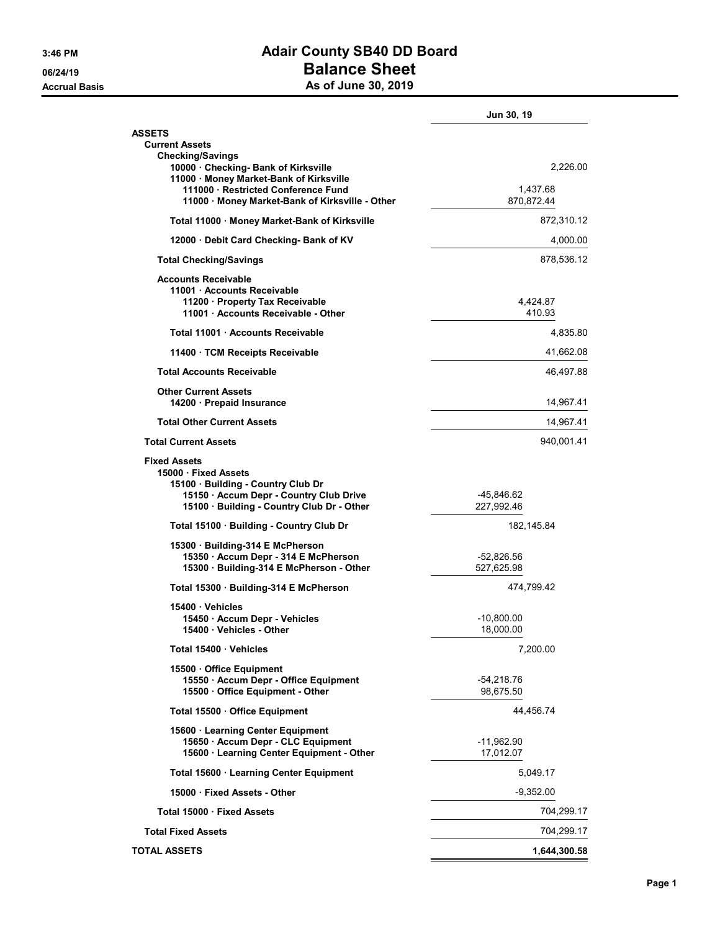## 3:46 PM **Adair County SB40 DD Board** 06/24/19 **Balance Sheet** Accrual Basis **As of June 30, 2019**

|                                                                                                                                                                                                                             | Jun 30, 19                         |
|-----------------------------------------------------------------------------------------------------------------------------------------------------------------------------------------------------------------------------|------------------------------------|
| <b>ASSETS</b>                                                                                                                                                                                                               |                                    |
| <b>Current Assets</b><br><b>Checking/Savings</b><br>10000 Checking- Bank of Kirksville<br>11000 · Money Market-Bank of Kirksville<br>111000 · Restricted Conference Fund<br>11000 · Money Market-Bank of Kirksville - Other | 2,226.00<br>1.437.68<br>870,872.44 |
| Total 11000 · Money Market-Bank of Kirksville                                                                                                                                                                               | 872,310.12                         |
| 12000 Debit Card Checking- Bank of KV                                                                                                                                                                                       | 4,000.00                           |
| <b>Total Checking/Savings</b>                                                                                                                                                                                               | 878,536.12                         |
| <b>Accounts Receivable</b><br>11001 Accounts Receivable<br>11200 · Property Tax Receivable<br>11001 · Accounts Receivable - Other                                                                                           | 4,424.87<br>410.93                 |
| Total 11001 Accounts Receivable                                                                                                                                                                                             | 4,835.80                           |
| 11400 TCM Receipts Receivable                                                                                                                                                                                               | 41,662.08                          |
| <b>Total Accounts Receivable</b>                                                                                                                                                                                            | 46,497.88                          |
| <b>Other Current Assets</b><br>14200 · Prepaid Insurance                                                                                                                                                                    | 14,967.41                          |
| <b>Total Other Current Assets</b>                                                                                                                                                                                           | 14,967.41                          |
| <b>Total Current Assets</b>                                                                                                                                                                                                 | 940.001.41                         |
| <b>Fixed Assets</b><br>15000 Fixed Assets<br>15100 Building - Country Club Dr<br>15150 · Accum Depr - Country Club Drive<br>15100 · Building - Country Club Dr - Other                                                      | -45,846.62<br>227,992.46           |
| Total 15100 · Building - Country Club Dr                                                                                                                                                                                    | 182,145.84                         |
| 15300 · Building-314 E McPherson<br>15350 · Accum Depr - 314 E McPherson<br>15300 Building-314 E McPherson - Other                                                                                                          | -52,826.56<br>527,625.98           |
| Total 15300 · Building-314 E McPherson                                                                                                                                                                                      | 474,799.42                         |
| 15400 Vehicles<br>15450 · Accum Depr - Vehicles<br>15400 · Vehicles - Other                                                                                                                                                 | -10,800.00<br>18,000.00            |
| Total 15400 · Vehicles                                                                                                                                                                                                      | 7,200.00                           |
| 15500 Office Equipment<br>15550 · Accum Depr - Office Equipment<br>15500 Office Equipment - Other                                                                                                                           | -54,218.76<br>98,675.50            |
| Total 15500 Office Equipment                                                                                                                                                                                                | 44,456.74                          |
| 15600 Learning Center Equipment<br>15650 · Accum Depr - CLC Equipment<br>15600 · Learning Center Equipment - Other                                                                                                          | $-11,962.90$<br>17,012.07          |
| Total 15600 · Learning Center Equipment                                                                                                                                                                                     | 5,049.17                           |
| 15000 Fixed Assets - Other                                                                                                                                                                                                  | $-9,352.00$                        |
| Total 15000 · Fixed Assets                                                                                                                                                                                                  | 704,299.17                         |
| <b>Total Fixed Assets</b>                                                                                                                                                                                                   | 704,299.17                         |
| <b>TOTAL ASSETS</b>                                                                                                                                                                                                         | 1,644,300.58                       |